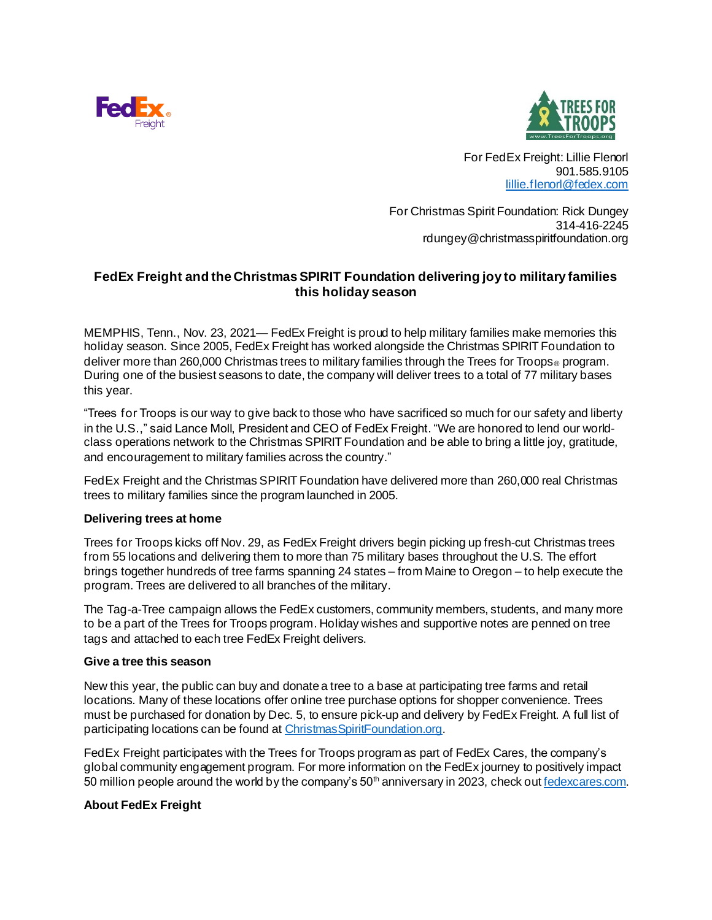



For FedEx Freight: Lillie Flenorl 901.585.9105 [lillie.flenorl@fedex.com](mailto:lillie.flenorl@fedex.com)

For Christmas Spirit Foundation: Rick Dungey 314-416-2245 rdungey@christmasspiritfoundation.org

# **FedEx Freight and the Christmas SPIRIT Foundation delivering joy to military families this holiday season**

MEMPHIS, Tenn., Nov. 23, 2021— FedEx Freight is proud to help military families make memories this holiday season. Since 2005, FedEx Freight has worked alongside the Christmas SPIRIT Foundation to deliver more than 260,000 Christmas trees to military families through the Trees for Troops<sup>®</sup> program. During one of the busiest seasons to date, the company will deliver trees to a total of 77 military bases this year.

"Trees for Troops is our way to give back to those who have sacrificed so much for our safety and liberty in the U.S.," said Lance Moll, President and CEO of FedEx Freight. "We are honored to lend our worldclass operations network to the Christmas SPIRIT Foundation and be able to bring a little joy, gratitude, and encouragement to military families across the country."

FedEx Freight and the Christmas SPIRIT Foundation have delivered more than 260,000 real Christmas trees to military families since the program launched in 2005.

### **Delivering trees at home**

Trees for Troops kicks off Nov. 29, as FedEx Freight drivers begin picking up fresh-cut Christmas trees from 55 locations and delivering them to more than 75 military bases throughout the U.S. The effort brings together hundreds of tree farms spanning 24 states – from Maine to Oregon – to help execute the program. Trees are delivered to all branches of the military.

The Tag-a-Tree campaign allows the FedEx customers, community members, students, and many more to be a part of the Trees for Troops program. Holiday wishes and supportive notes are penned on tree tags and attached to each tree FedEx Freight delivers.

#### **Give a tree this season**

New this year, the public can buy and donate a tree to a base at participating tree farms and retail locations. Many of these locations offer online tree purchase options for shopper convenience. Trees must be purchased for donation by Dec. 5, to ensure pick-up and delivery by FedEx Freight. A full list of participating locations can be found a[t ChristmasSpiritFoundation.org](https://www.christmasspiritfoundation.org/official-locations).

FedEx Freight participates with the Trees for Troops program as part of FedEx Cares, the company's global community engagement program. For more information on the FedEx journey to positively impact 50 million people around the world by the company's  $50<sup>th</sup>$  anniversary in 2023, check o[ut fedexcares.com](https://fedexcares.com/).

### **About FedEx Freight**